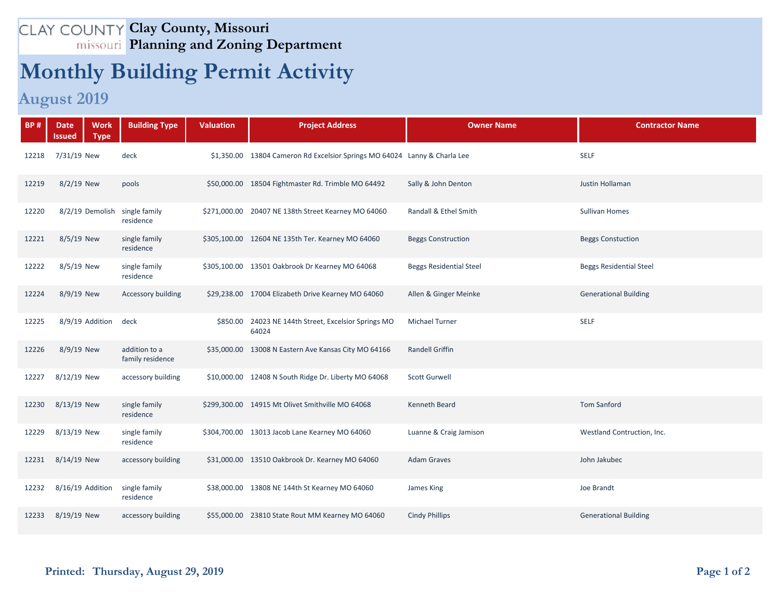## **Clay County, Missouri Planning and Zoning Department**

## **Monthly Building Permit Activity**

## **August 2019**

| <b>BP#</b> | <b>Work</b><br><b>Date</b><br><b>Type</b><br>Issued | <b>Building Type</b>              | <b>Valuation</b> | <b>Project Address</b>                                                    | <b>Owner Name</b>              | <b>Contractor Name</b>         |
|------------|-----------------------------------------------------|-----------------------------------|------------------|---------------------------------------------------------------------------|--------------------------------|--------------------------------|
| 12218      | 7/31/19 New                                         | deck                              |                  | \$1,350.00 13804 Cameron Rd Excelsior Springs MO 64024 Lanny & Charla Lee |                                | <b>SELF</b>                    |
| 12219      | 8/2/19 New                                          | pools                             |                  | \$50,000.00 18504 Fightmaster Rd. Trimble MO 64492                        | Sally & John Denton            | Justin Hollaman                |
| 12220      | 8/2/19 Demolish                                     | single family<br>residence        |                  | \$271,000.00 20407 NE 138th Street Kearney MO 64060                       | Randall & Ethel Smith          | <b>Sullivan Homes</b>          |
| 12221      | 8/5/19 New                                          | single family<br>residence        |                  | \$305,100.00 12604 NE 135th Ter. Kearney MO 64060                         | <b>Beggs Construction</b>      | <b>Beggs Constuction</b>       |
| 12222      | 8/5/19 New                                          | single family<br>residence        |                  | \$305,100.00 13501 Oakbrook Dr Kearney MO 64068                           | <b>Beggs Residential Steel</b> | <b>Beggs Residential Steel</b> |
| 12224      | 8/9/19 New                                          | Accessory building                |                  | \$29,238.00 17004 Elizabeth Drive Kearney MO 64060                        | Allen & Ginger Meinke          | <b>Generational Building</b>   |
| 12225      | 8/9/19 Addition                                     | deck                              | \$850.00         | 24023 NE 144th Street, Excelsior Springs MO<br>64024                      | <b>Michael Turner</b>          | <b>SELF</b>                    |
| 12226      | 8/9/19 New                                          | addition to a<br>family residence |                  | \$35,000.00 13008 N Eastern Ave Kansas City MO 64166                      | <b>Randell Griffin</b>         |                                |
| 12227      | 8/12/19 New                                         | accessory building                |                  | \$10,000.00 12408 N South Ridge Dr. Liberty MO 64068                      | <b>Scott Gurwell</b>           |                                |
| 12230      | 8/13/19 New                                         | single family<br>residence        |                  | \$299,300.00 14915 Mt Olivet Smithville MO 64068                          | <b>Kenneth Beard</b>           | <b>Tom Sanford</b>             |
| 12229      | 8/13/19 New                                         | single family<br>residence        |                  | \$304,700.00 13013 Jacob Lane Kearney MO 64060                            | Luanne & Craig Jamison         | Westland Contruction, Inc.     |
| 12231      | 8/14/19 New                                         | accessory building                |                  | \$31,000.00 13510 Oakbrook Dr. Kearney MO 64060                           | <b>Adam Graves</b>             | John Jakubec                   |
| 12232      | 8/16/19 Addition                                    | single family<br>residence        |                  | \$38,000.00 13808 NE 144th St Kearney MO 64060                            | James King                     | Joe Brandt                     |
| 12233      | 8/19/19 New                                         | accessory building                |                  | \$55,000.00 23810 State Rout MM Kearney MO 64060                          | <b>Cindy Phillips</b>          | <b>Generational Building</b>   |